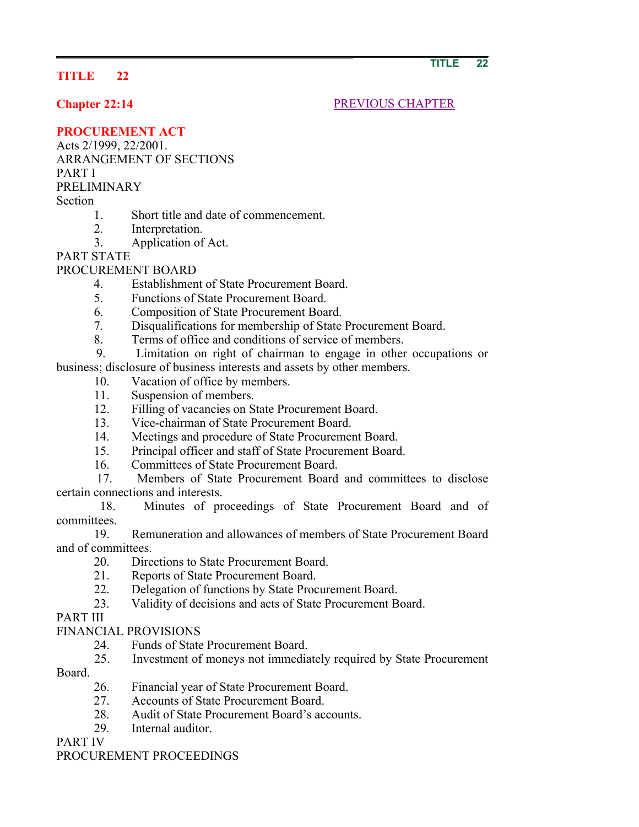# **TITLE 22**

**Chapter 22:14** PREVIOUS CHAPTER

### **PROCUREMENT ACT**

Acts 2/1999, 22/2001.

ARRANGEMENT OF SECTIONS PART I

PRELIMINARY

Section

- 
- 1. Short title and date of commencement.
- 2. Interpretation.
- 3. Application of Act.

PART STATE

## PROCUREMENT BOARD

- 4. Establishment of State Procurement Board.
- 5. Functions of State Procurement Board.
- 6. Composition of State Procurement Board.
- 7. Disqualifications for membership of State Procurement Board.
- 8. Terms of office and conditions of service of members.
- 9. Limitation on right of chairman to engage in other occupations or business; disclosure of business interests and assets by other members.
	- 10. Vacation of office by members.
	- 11. Suspension of members.
	- 12. Filling of vacancies on State Procurement Board.
	- 13. Vice-chairman of State Procurement Board.
	- 14. Meetings and procedure of State Procurement Board.
	- 15. Principal officer and staff of State Procurement Board.
	- 16. Committees of State Procurement Board.

 17. Members of State Procurement Board and committees to disclose certain connections and interests.

 18. Minutes of proceedings of State Procurement Board and of committees.

 19. Remuneration and allowances of members of State Procurement Board and of committees.

- 20. Directions to State Procurement Board.
- 21. Reports of State Procurement Board.
- 22. Delegation of functions by State Procurement Board.
- 23. Validity of decisions and acts of State Procurement Board.

PART III

# FINANCIAL PROVISIONS

- 24. Funds of State Procurement Board.
- 25. Investment of moneys not immediately required by State Procurement
- Board.
	- 26. Financial year of State Procurement Board.
	- 27. Accounts of State Procurement Board.
	- 28. Audit of State Procurement Board's accounts.
	- 29. Internal auditor.

PART IV

## PROCUREMENT PROCEEDINGS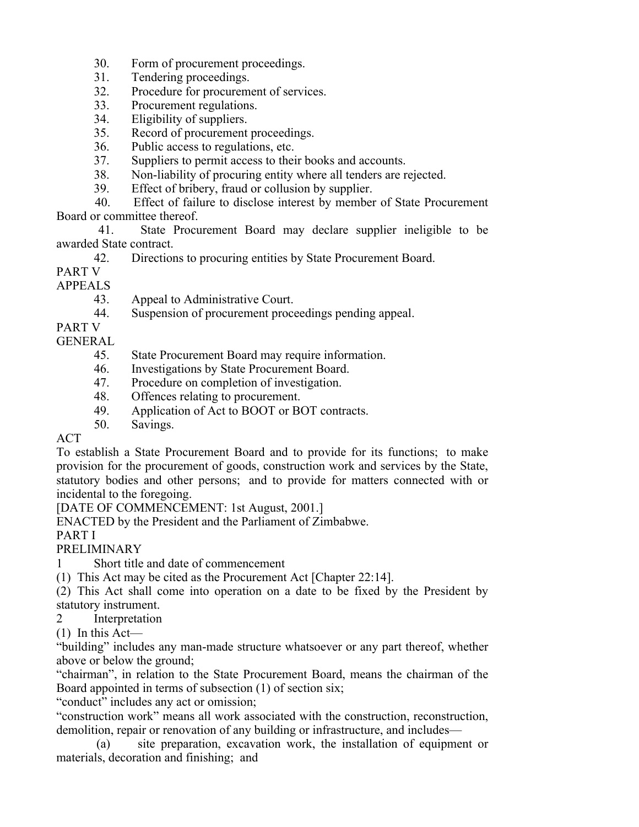- 30. Form of procurement proceedings.
- 31. Tendering proceedings.
- 32. Procedure for procurement of services.
- 33. Procurement regulations.
- 34. Eligibility of suppliers.
- 35. Record of procurement proceedings.
- 36. Public access to regulations, etc.
- 37. Suppliers to permit access to their books and accounts.
- 38. Non-liability of procuring entity where all tenders are rejected.
- 39. Effect of bribery, fraud or collusion by supplier.
- 40. Effect of failure to disclose interest by member of State Procurement Board or committee thereof.

 41. State Procurement Board may declare supplier ineligible to be awarded State contract.

- 42. Directions to procuring entities by State Procurement Board.
- PART V
- APPEALS
	- 43. Appeal to Administrative Court.
	- 44. Suspension of procurement proceedings pending appeal.
- PART V
- GENERAL
	- 45. State Procurement Board may require information.
	- 46. Investigations by State Procurement Board.
	- 47. Procedure on completion of investigation.
	- 48. Offences relating to procurement.
	- 49. Application of Act to BOOT or BOT contracts.
	- 50. Savings.

# ACT

To establish a State Procurement Board and to provide for its functions; to make provision for the procurement of goods, construction work and services by the State, statutory bodies and other persons; and to provide for matters connected with or incidental to the foregoing.

[DATE OF COMMENCEMENT: 1st August, 2001.]

ENACTED by the President and the Parliament of Zimbabwe.

PART I

PRELIMINARY

1 Short title and date of commencement

(1) This Act may be cited as the Procurement Act [Chapter 22:14].

(2) This Act shall come into operation on a date to be fixed by the President by statutory instrument.

- 2 Interpretation
- (1) In this Act—

"building" includes any man-made structure whatsoever or any part thereof, whether above or below the ground;

"chairman", in relation to the State Procurement Board, means the chairman of the Board appointed in terms of subsection (1) of section six;

"conduct" includes any act or omission;

"construction work" means all work associated with the construction, reconstruction, demolition, repair or renovation of any building or infrastructure, and includes—

 (a) site preparation, excavation work, the installation of equipment or materials, decoration and finishing; and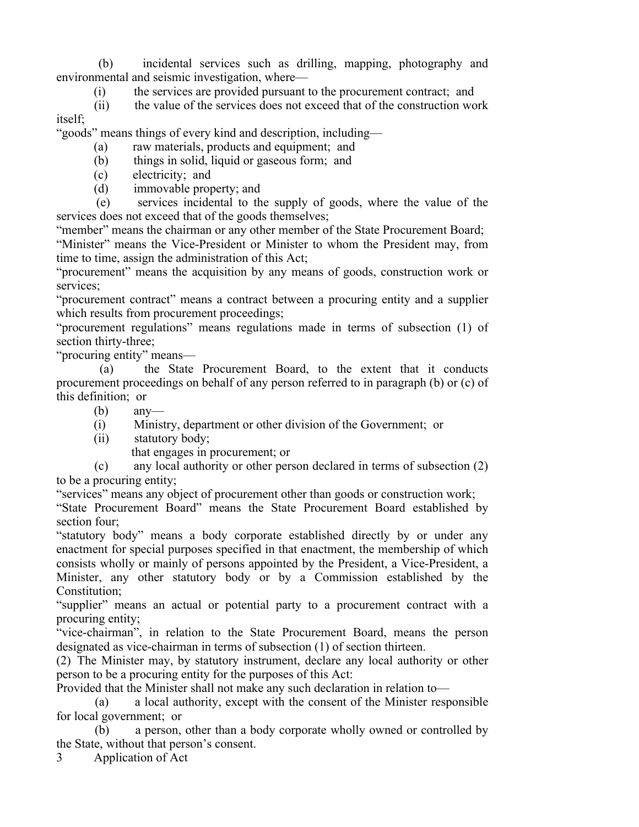(b) incidental services such as drilling, mapping, photography and environmental and seismic investigation, where—

(i) the services are provided pursuant to the procurement contract; and

 (ii) the value of the services does not exceed that of the construction work itself;

"goods" means things of every kind and description, including—

- (a) raw materials, products and equipment; and
- (b) things in solid, liquid or gaseous form; and
- (c) electricity; and
- (d) immovable property; and

 (e) services incidental to the supply of goods, where the value of the services does not exceed that of the goods themselves;

"member" means the chairman or any other member of the State Procurement Board;

"Minister" means the Vice-President or Minister to whom the President may, from time to time, assign the administration of this Act;

"procurement" means the acquisition by any means of goods, construction work or services:

"procurement contract" means a contract between a procuring entity and a supplier which results from procurement proceedings;

"procurement regulations" means regulations made in terms of subsection (1) of section thirty-three;

"procuring entity" means—

 (a) the State Procurement Board, to the extent that it conducts procurement proceedings on behalf of any person referred to in paragraph (b) or (c) of this definition; or

(b) any—

(i) Ministry, department or other division of the Government; or

(ii) statutory body;

that engages in procurement; or

 (c) any local authority or other person declared in terms of subsection (2) to be a procuring entity;

"services" means any object of procurement other than goods or construction work;

"State Procurement Board" means the State Procurement Board established by section four;

"statutory body" means a body corporate established directly by or under any enactment for special purposes specified in that enactment, the membership of which consists wholly or mainly of persons appointed by the President, a Vice-President, a Minister, any other statutory body or by a Commission established by the Constitution;

"supplier" means an actual or potential party to a procurement contract with a procuring entity;

"vice-chairman", in relation to the State Procurement Board, means the person designated as vice-chairman in terms of subsection (1) of section thirteen.

(2) The Minister may, by statutory instrument, declare any local authority or other person to be a procuring entity for the purposes of this Act:

Provided that the Minister shall not make any such declaration in relation to—

 (a) a local authority, except with the consent of the Minister responsible for local government; or

 (b) a person, other than a body corporate wholly owned or controlled by the State, without that person's consent.

3 Application of Act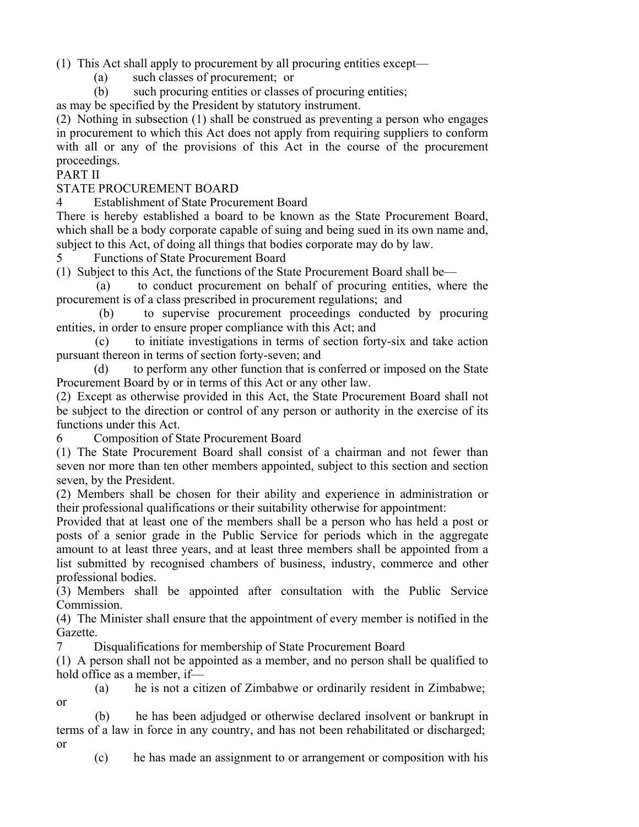(1) This Act shall apply to procurement by all procuring entities except—

(a) such classes of procurement; or

(b) such procuring entities or classes of procuring entities;

as may be specified by the President by statutory instrument.

(2) Nothing in subsection (1) shall be construed as preventing a person who engages in procurement to which this Act does not apply from requiring suppliers to conform with all or any of the provisions of this Act in the course of the procurement proceedings.

#### PART II

#### STATE PROCUREMENT BOARD

4 Establishment of State Procurement Board

There is hereby established a board to be known as the State Procurement Board, which shall be a body corporate capable of suing and being sued in its own name and, subject to this Act, of doing all things that bodies corporate may do by law.

5 Functions of State Procurement Board

(1) Subject to this Act, the functions of the State Procurement Board shall be—

 (a) to conduct procurement on behalf of procuring entities, where the procurement is of a class prescribed in procurement regulations; and

 (b) to supervise procurement proceedings conducted by procuring entities, in order to ensure proper compliance with this Act; and

 (c) to initiate investigations in terms of section forty-six and take action pursuant thereon in terms of section forty-seven; and

 (d) to perform any other function that is conferred or imposed on the State Procurement Board by or in terms of this Act or any other law.

(2) Except as otherwise provided in this Act, the State Procurement Board shall not be subject to the direction or control of any person or authority in the exercise of its functions under this Act.

6 Composition of State Procurement Board

(1) The State Procurement Board shall consist of a chairman and not fewer than seven nor more than ten other members appointed, subject to this section and section seven, by the President.

(2) Members shall be chosen for their ability and experience in administration or their professional qualifications or their suitability otherwise for appointment:

Provided that at least one of the members shall be a person who has held a post or posts of a senior grade in the Public Service for periods which in the aggregate amount to at least three years, and at least three members shall be appointed from a list submitted by recognised chambers of business, industry, commerce and other professional bodies.

(3) Members shall be appointed after consultation with the Public Service Commission.

(4) The Minister shall ensure that the appointment of every member is notified in the Gazette.

7 Disqualifications for membership of State Procurement Board

(1) A person shall not be appointed as a member, and no person shall be qualified to hold office as a member, if—

 (a) he is not a citizen of Zimbabwe or ordinarily resident in Zimbabwe; or

 (b) he has been adjudged or otherwise declared insolvent or bankrupt in terms of a law in force in any country, and has not been rehabilitated or discharged; or

(c) he has made an assignment to or arrangement or composition with his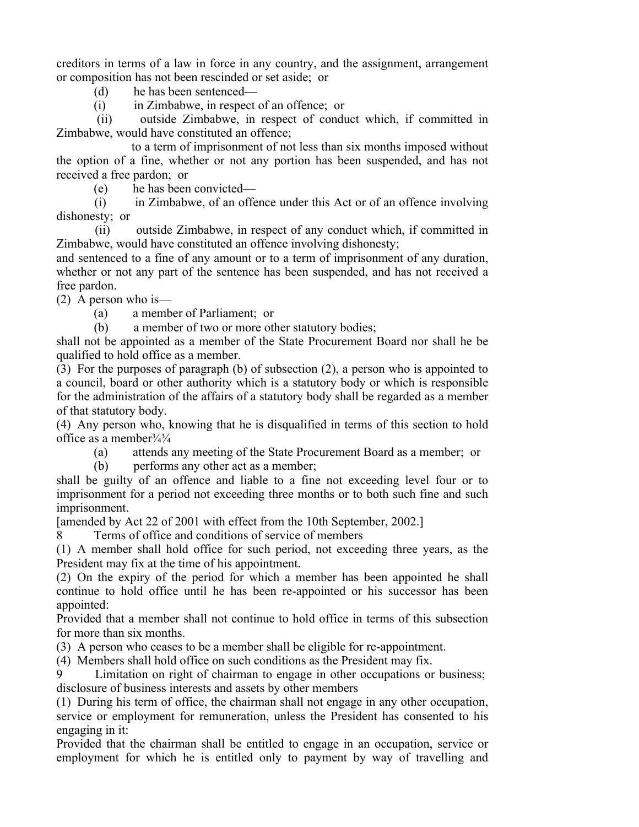creditors in terms of a law in force in any country, and the assignment, arrangement or composition has not been rescinded or set aside; or

(d) he has been sentenced—

(i) in Zimbabwe, in respect of an offence; or

 (ii) outside Zimbabwe, in respect of conduct which, if committed in Zimbabwe, would have constituted an offence;

 to a term of imprisonment of not less than six months imposed without the option of a fine, whether or not any portion has been suspended, and has not received a free pardon; or

(e) he has been convicted—

 (i) in Zimbabwe, of an offence under this Act or of an offence involving dishonesty; or

 (ii) outside Zimbabwe, in respect of any conduct which, if committed in Zimbabwe, would have constituted an offence involving dishonesty;

and sentenced to a fine of any amount or to a term of imprisonment of any duration, whether or not any part of the sentence has been suspended, and has not received a free pardon.

(2) A person who is—

(a) a member of Parliament; or

(b) a member of two or more other statutory bodies;

shall not be appointed as a member of the State Procurement Board nor shall he be qualified to hold office as a member.

(3) For the purposes of paragraph (b) of subsection (2), a person who is appointed to a council, board or other authority which is a statutory body or which is responsible for the administration of the affairs of a statutory body shall be regarded as a member of that statutory body.

(4) Any person who, knowing that he is disqualified in terms of this section to hold office as a member  $\frac{3}{4}$ 

(a) attends any meeting of the State Procurement Board as a member; or

(b) performs any other act as a member;

shall be guilty of an offence and liable to a fine not exceeding level four or to imprisonment for a period not exceeding three months or to both such fine and such imprisonment.

[amended by Act 22 of 2001 with effect from the 10th September, 2002.]

8 Terms of office and conditions of service of members

(1) A member shall hold office for such period, not exceeding three years, as the President may fix at the time of his appointment.

(2) On the expiry of the period for which a member has been appointed he shall continue to hold office until he has been re-appointed or his successor has been appointed:

Provided that a member shall not continue to hold office in terms of this subsection for more than six months.

(3) A person who ceases to be a member shall be eligible for re-appointment.

(4) Members shall hold office on such conditions as the President may fix.

Limitation on right of chairman to engage in other occupations or business; disclosure of business interests and assets by other members

(1) During his term of office, the chairman shall not engage in any other occupation, service or employment for remuneration, unless the President has consented to his engaging in it:

Provided that the chairman shall be entitled to engage in an occupation, service or employment for which he is entitled only to payment by way of travelling and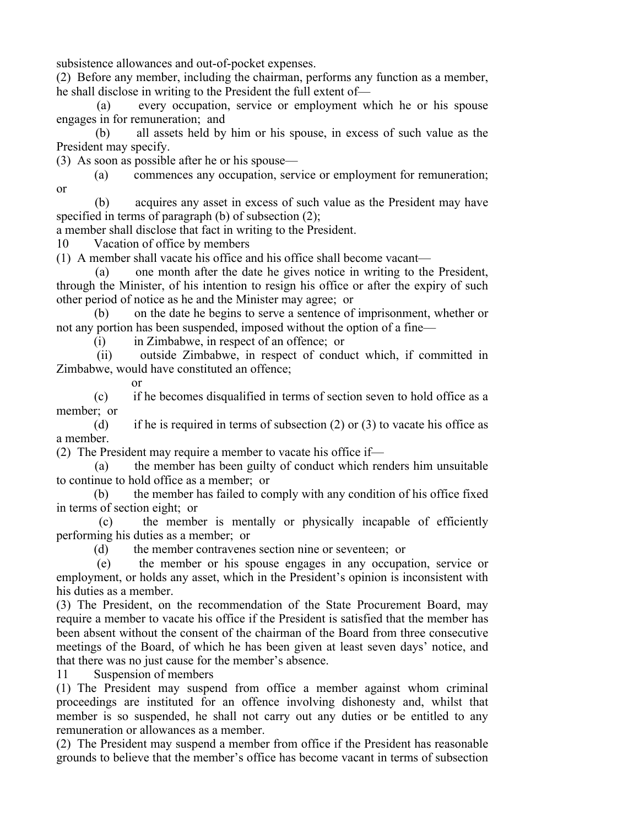subsistence allowances and out-of-pocket expenses.

(2) Before any member, including the chairman, performs any function as a member, he shall disclose in writing to the President the full extent of—

 (a) every occupation, service or employment which he or his spouse engages in for remuneration; and

 (b) all assets held by him or his spouse, in excess of such value as the President may specify.

(3) As soon as possible after he or his spouse—

 (a) commences any occupation, service or employment for remuneration; or

 (b) acquires any asset in excess of such value as the President may have specified in terms of paragraph (b) of subsection (2);

a member shall disclose that fact in writing to the President.

10 Vacation of office by members

(1) A member shall vacate his office and his office shall become vacant—

 (a) one month after the date he gives notice in writing to the President, through the Minister, of his intention to resign his office or after the expiry of such other period of notice as he and the Minister may agree; or

 (b) on the date he begins to serve a sentence of imprisonment, whether or not any portion has been suspended, imposed without the option of a fine—

(i) in Zimbabwe, in respect of an offence; or

 (ii) outside Zimbabwe, in respect of conduct which, if committed in Zimbabwe, would have constituted an offence;

or

 (c) if he becomes disqualified in terms of section seven to hold office as a member; or

(d) if he is required in terms of subsection  $(2)$  or  $(3)$  to vacate his office as a member.

(2) The President may require a member to vacate his office if—

 (a) the member has been guilty of conduct which renders him unsuitable to continue to hold office as a member; or

 (b) the member has failed to comply with any condition of his office fixed in terms of section eight; or

 (c) the member is mentally or physically incapable of efficiently performing his duties as a member; or

(d) the member contravenes section nine or seventeen; or

 (e) the member or his spouse engages in any occupation, service or employment, or holds any asset, which in the President's opinion is inconsistent with his duties as a member.

(3) The President, on the recommendation of the State Procurement Board, may require a member to vacate his office if the President is satisfied that the member has been absent without the consent of the chairman of the Board from three consecutive meetings of the Board, of which he has been given at least seven days' notice, and that there was no just cause for the member's absence.

11 Suspension of members

(1) The President may suspend from office a member against whom criminal proceedings are instituted for an offence involving dishonesty and, whilst that member is so suspended, he shall not carry out any duties or be entitled to any remuneration or allowances as a member.

(2) The President may suspend a member from office if the President has reasonable grounds to believe that the member's office has become vacant in terms of subsection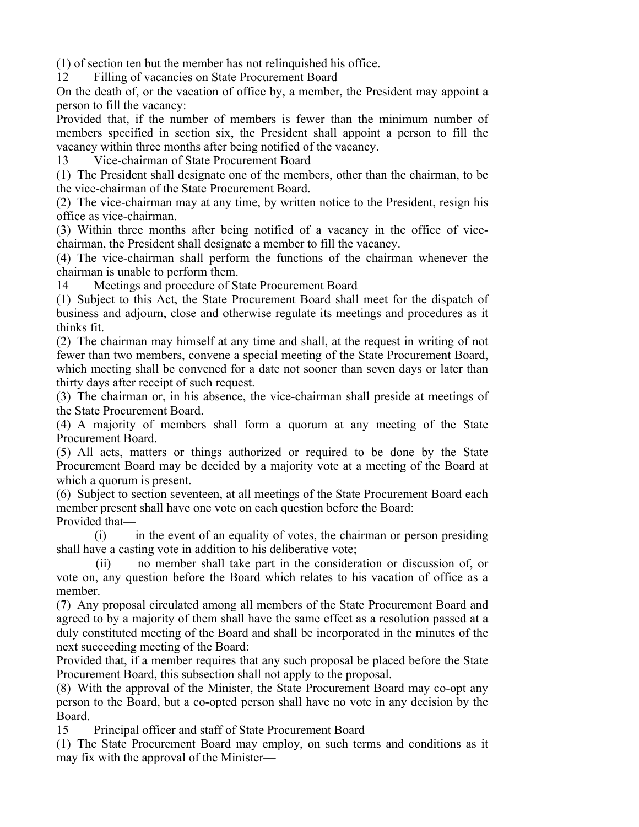(1) of section ten but the member has not relinquished his office.

12 Filling of vacancies on State Procurement Board

On the death of, or the vacation of office by, a member, the President may appoint a person to fill the vacancy:

Provided that, if the number of members is fewer than the minimum number of members specified in section six, the President shall appoint a person to fill the vacancy within three months after being notified of the vacancy.

13 Vice-chairman of State Procurement Board

(1) The President shall designate one of the members, other than the chairman, to be the vice-chairman of the State Procurement Board.

(2) The vice-chairman may at any time, by written notice to the President, resign his office as vice-chairman.

(3) Within three months after being notified of a vacancy in the office of vicechairman, the President shall designate a member to fill the vacancy.

(4) The vice-chairman shall perform the functions of the chairman whenever the chairman is unable to perform them.

14 Meetings and procedure of State Procurement Board

(1) Subject to this Act, the State Procurement Board shall meet for the dispatch of business and adjourn, close and otherwise regulate its meetings and procedures as it thinks fit.

(2) The chairman may himself at any time and shall, at the request in writing of not fewer than two members, convene a special meeting of the State Procurement Board, which meeting shall be convened for a date not sooner than seven days or later than thirty days after receipt of such request.

(3) The chairman or, in his absence, the vice-chairman shall preside at meetings of the State Procurement Board.

(4) A majority of members shall form a quorum at any meeting of the State Procurement Board.

(5) All acts, matters or things authorized or required to be done by the State Procurement Board may be decided by a majority vote at a meeting of the Board at which a quorum is present.

(6) Subject to section seventeen, at all meetings of the State Procurement Board each member present shall have one vote on each question before the Board: Provided that—

 (i) in the event of an equality of votes, the chairman or person presiding shall have a casting vote in addition to his deliberative vote;

 (ii) no member shall take part in the consideration or discussion of, or vote on, any question before the Board which relates to his vacation of office as a member.

(7) Any proposal circulated among all members of the State Procurement Board and agreed to by a majority of them shall have the same effect as a resolution passed at a duly constituted meeting of the Board and shall be incorporated in the minutes of the next succeeding meeting of the Board:

Provided that, if a member requires that any such proposal be placed before the State Procurement Board, this subsection shall not apply to the proposal.

(8) With the approval of the Minister, the State Procurement Board may co-opt any person to the Board, but a co-opted person shall have no vote in any decision by the Board.

15 Principal officer and staff of State Procurement Board

(1) The State Procurement Board may employ, on such terms and conditions as it may fix with the approval of the Minister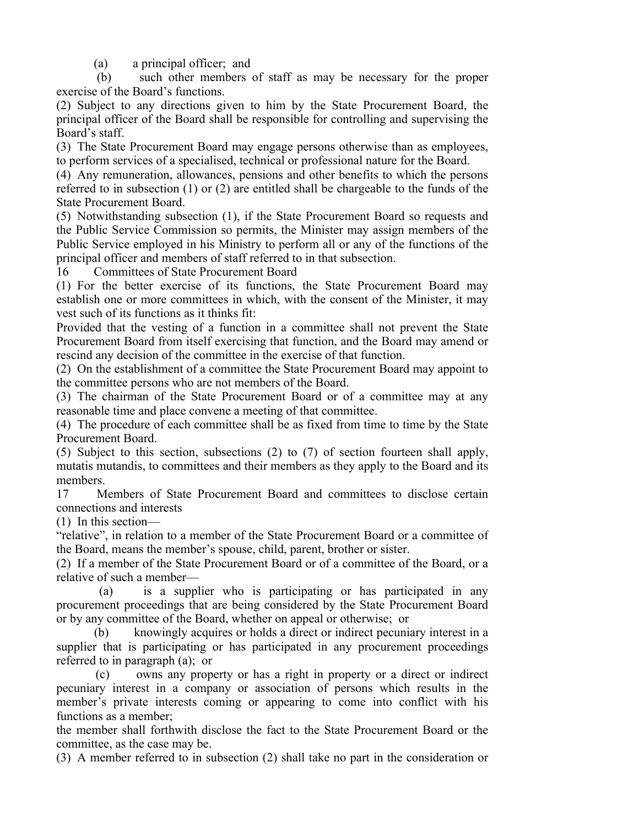(a) a principal officer; and

 (b) such other members of staff as may be necessary for the proper exercise of the Board's functions.

(2) Subject to any directions given to him by the State Procurement Board, the principal officer of the Board shall be responsible for controlling and supervising the Board's staff.

(3) The State Procurement Board may engage persons otherwise than as employees, to perform services of a specialised, technical or professional nature for the Board.

(4) Any remuneration, allowances, pensions and other benefits to which the persons referred to in subsection (1) or (2) are entitled shall be chargeable to the funds of the State Procurement Board.

(5) Notwithstanding subsection (1), if the State Procurement Board so requests and the Public Service Commission so permits, the Minister may assign members of the Public Service employed in his Ministry to perform all or any of the functions of the principal officer and members of staff referred to in that subsection.

16 Committees of State Procurement Board

(1) For the better exercise of its functions, the State Procurement Board may establish one or more committees in which, with the consent of the Minister, it may vest such of its functions as it thinks fit:

Provided that the vesting of a function in a committee shall not prevent the State Procurement Board from itself exercising that function, and the Board may amend or rescind any decision of the committee in the exercise of that function.

(2) On the establishment of a committee the State Procurement Board may appoint to the committee persons who are not members of the Board.

(3) The chairman of the State Procurement Board or of a committee may at any reasonable time and place convene a meeting of that committee.

(4) The procedure of each committee shall be as fixed from time to time by the State Procurement Board.

(5) Subject to this section, subsections (2) to (7) of section fourteen shall apply, mutatis mutandis, to committees and their members as they apply to the Board and its members.

17 Members of State Procurement Board and committees to disclose certain connections and interests

(1) In this section—

"relative", in relation to a member of the State Procurement Board or a committee of the Board, means the member's spouse, child, parent, brother or sister.

(2) If a member of the State Procurement Board or of a committee of the Board, or a relative of such a member—

 (a) is a supplier who is participating or has participated in any procurement proceedings that are being considered by the State Procurement Board or by any committee of the Board, whether on appeal or otherwise; or

 (b) knowingly acquires or holds a direct or indirect pecuniary interest in a supplier that is participating or has participated in any procurement proceedings referred to in paragraph (a); or

 (c) owns any property or has a right in property or a direct or indirect pecuniary interest in a company or association of persons which results in the member's private interests coming or appearing to come into conflict with his functions as a member;

the member shall forthwith disclose the fact to the State Procurement Board or the committee, as the case may be.

(3) A member referred to in subsection (2) shall take no part in the consideration or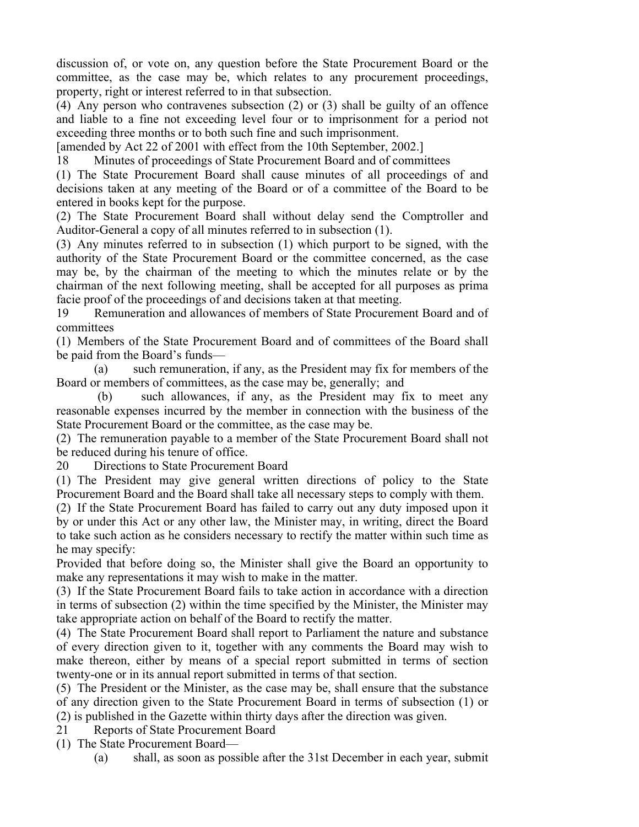discussion of, or vote on, any question before the State Procurement Board or the committee, as the case may be, which relates to any procurement proceedings, property, right or interest referred to in that subsection.

(4) Any person who contravenes subsection (2) or (3) shall be guilty of an offence and liable to a fine not exceeding level four or to imprisonment for a period not exceeding three months or to both such fine and such imprisonment.

[amended by Act 22 of 2001 with effect from the 10th September, 2002.]

18 Minutes of proceedings of State Procurement Board and of committees

(1) The State Procurement Board shall cause minutes of all proceedings of and decisions taken at any meeting of the Board or of a committee of the Board to be entered in books kept for the purpose.

(2) The State Procurement Board shall without delay send the Comptroller and Auditor-General a copy of all minutes referred to in subsection (1).

(3) Any minutes referred to in subsection (1) which purport to be signed, with the authority of the State Procurement Board or the committee concerned, as the case may be, by the chairman of the meeting to which the minutes relate or by the chairman of the next following meeting, shall be accepted for all purposes as prima facie proof of the proceedings of and decisions taken at that meeting.

19 Remuneration and allowances of members of State Procurement Board and of committees

(1) Members of the State Procurement Board and of committees of the Board shall be paid from the Board's funds—

 (a) such remuneration, if any, as the President may fix for members of the Board or members of committees, as the case may be, generally; and

 (b) such allowances, if any, as the President may fix to meet any reasonable expenses incurred by the member in connection with the business of the State Procurement Board or the committee, as the case may be.

(2) The remuneration payable to a member of the State Procurement Board shall not be reduced during his tenure of office.

20 Directions to State Procurement Board

(1) The President may give general written directions of policy to the State Procurement Board and the Board shall take all necessary steps to comply with them.

(2) If the State Procurement Board has failed to carry out any duty imposed upon it by or under this Act or any other law, the Minister may, in writing, direct the Board to take such action as he considers necessary to rectify the matter within such time as he may specify:

Provided that before doing so, the Minister shall give the Board an opportunity to make any representations it may wish to make in the matter.

(3) If the State Procurement Board fails to take action in accordance with a direction in terms of subsection (2) within the time specified by the Minister, the Minister may take appropriate action on behalf of the Board to rectify the matter.

(4) The State Procurement Board shall report to Parliament the nature and substance of every direction given to it, together with any comments the Board may wish to make thereon, either by means of a special report submitted in terms of section twenty-one or in its annual report submitted in terms of that section.

(5) The President or the Minister, as the case may be, shall ensure that the substance of any direction given to the State Procurement Board in terms of subsection (1) or (2) is published in the Gazette within thirty days after the direction was given.

21 Reports of State Procurement Board

(1) The State Procurement Board—

(a) shall, as soon as possible after the 31st December in each year, submit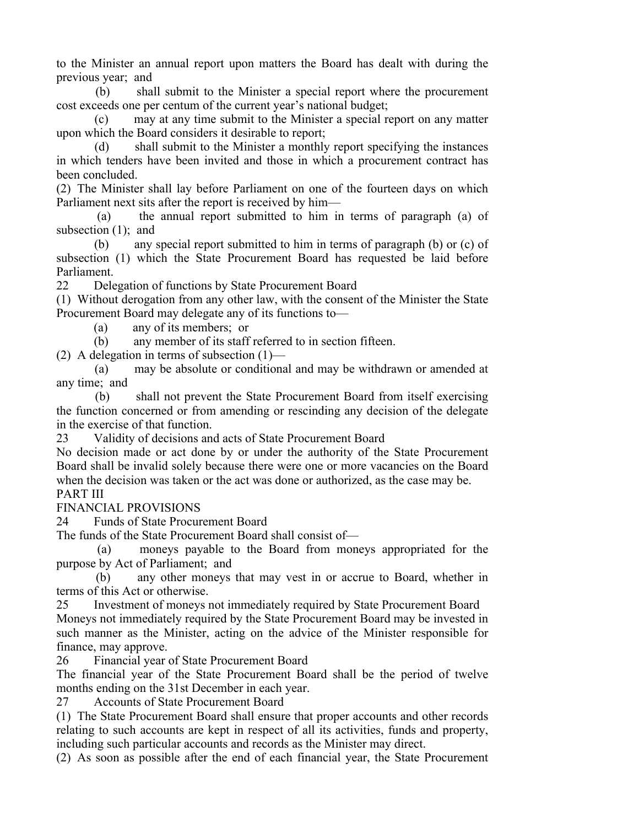to the Minister an annual report upon matters the Board has dealt with during the previous year; and

 (b) shall submit to the Minister a special report where the procurement cost exceeds one per centum of the current year's national budget;

 (c) may at any time submit to the Minister a special report on any matter upon which the Board considers it desirable to report;

 (d) shall submit to the Minister a monthly report specifying the instances in which tenders have been invited and those in which a procurement contract has been concluded.

(2) The Minister shall lay before Parliament on one of the fourteen days on which Parliament next sits after the report is received by him—

 (a) the annual report submitted to him in terms of paragraph (a) of subsection  $(1)$ ; and

 (b) any special report submitted to him in terms of paragraph (b) or (c) of subsection (1) which the State Procurement Board has requested be laid before Parliament.

22 Delegation of functions by State Procurement Board

(1) Without derogation from any other law, with the consent of the Minister the State Procurement Board may delegate any of its functions to—

(a) any of its members; or

(b) any member of its staff referred to in section fifteen.

(2) A delegation in terms of subsection (1)—

 (a) may be absolute or conditional and may be withdrawn or amended at any time; and

 (b) shall not prevent the State Procurement Board from itself exercising the function concerned or from amending or rescinding any decision of the delegate in the exercise of that function.

23 Validity of decisions and acts of State Procurement Board

No decision made or act done by or under the authority of the State Procurement Board shall be invalid solely because there were one or more vacancies on the Board when the decision was taken or the act was done or authorized, as the case may be. PART III

FINANCIAL PROVISIONS

24 Funds of State Procurement Board

The funds of the State Procurement Board shall consist of—

 (a) moneys payable to the Board from moneys appropriated for the purpose by Act of Parliament; and

 (b) any other moneys that may vest in or accrue to Board, whether in terms of this Act or otherwise.

25 Investment of moneys not immediately required by State Procurement Board Moneys not immediately required by the State Procurement Board may be invested in such manner as the Minister, acting on the advice of the Minister responsible for finance, may approve.

26 Financial year of State Procurement Board

The financial year of the State Procurement Board shall be the period of twelve months ending on the 31st December in each year.

27 Accounts of State Procurement Board

(1) The State Procurement Board shall ensure that proper accounts and other records relating to such accounts are kept in respect of all its activities, funds and property, including such particular accounts and records as the Minister may direct.

(2) As soon as possible after the end of each financial year, the State Procurement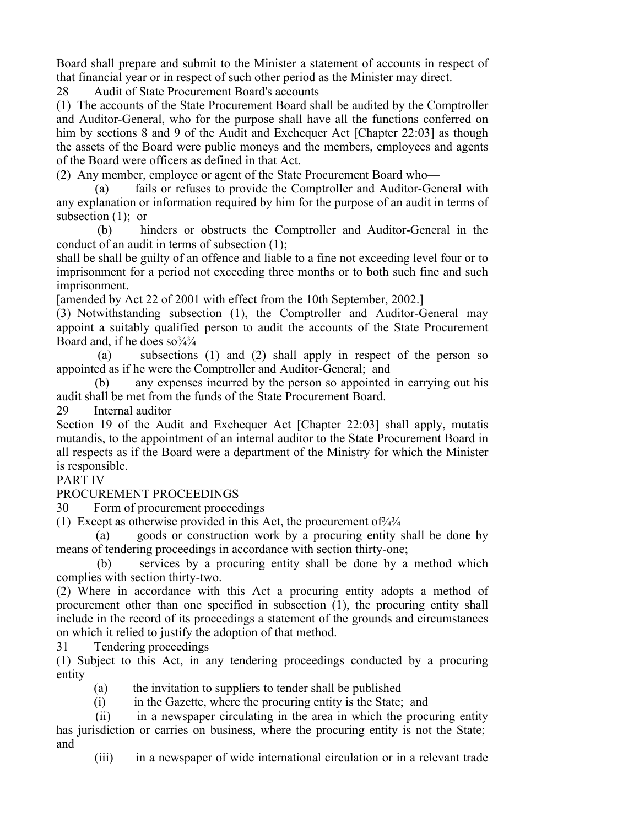Board shall prepare and submit to the Minister a statement of accounts in respect of that financial year or in respect of such other period as the Minister may direct.

28 Audit of State Procurement Board's accounts

(1) The accounts of the State Procurement Board shall be audited by the Comptroller and Auditor-General, who for the purpose shall have all the functions conferred on him by sections 8 and 9 of the Audit and Exchequer Act [Chapter 22:03] as though the assets of the Board were public moneys and the members, employees and agents of the Board were officers as defined in that Act.

(2) Any member, employee or agent of the State Procurement Board who—

 (a) fails or refuses to provide the Comptroller and Auditor-General with any explanation or information required by him for the purpose of an audit in terms of subsection  $(1)$ ; or

 (b) hinders or obstructs the Comptroller and Auditor-General in the conduct of an audit in terms of subsection (1);

shall be shall be guilty of an offence and liable to a fine not exceeding level four or to imprisonment for a period not exceeding three months or to both such fine and such imprisonment.

[amended by Act 22 of 2001 with effect from the 10th September, 2002.]

(3) Notwithstanding subsection (1), the Comptroller and Auditor-General may appoint a suitably qualified person to audit the accounts of the State Procurement Board and, if he does  $\frac{80^{3}/3}{4}$ 

 (a) subsections (1) and (2) shall apply in respect of the person so appointed as if he were the Comptroller and Auditor-General; and

 (b) any expenses incurred by the person so appointed in carrying out his audit shall be met from the funds of the State Procurement Board.

29 Internal auditor

Section 19 of the Audit and Exchequer Act [Chapter 22:03] shall apply, mutatis mutandis, to the appointment of an internal auditor to the State Procurement Board in all respects as if the Board were a department of the Ministry for which the Minister is responsible.

## PART IV

PROCUREMENT PROCEEDINGS

30 Form of procurement proceedings

(1) Except as otherwise provided in this Act, the procurement of  $\frac{3}{4}$ 

 (a) goods or construction work by a procuring entity shall be done by means of tendering proceedings in accordance with section thirty-one;

 (b) services by a procuring entity shall be done by a method which complies with section thirty-two.

(2) Where in accordance with this Act a procuring entity adopts a method of procurement other than one specified in subsection (1), the procuring entity shall include in the record of its proceedings a statement of the grounds and circumstances on which it relied to justify the adoption of that method.

31 Tendering proceedings

(1) Subject to this Act, in any tendering proceedings conducted by a procuring entity—

(a) the invitation to suppliers to tender shall be published—

(i) in the Gazette, where the procuring entity is the State; and

 (ii) in a newspaper circulating in the area in which the procuring entity has jurisdiction or carries on business, where the procuring entity is not the State; and

(iii) in a newspaper of wide international circulation or in a relevant trade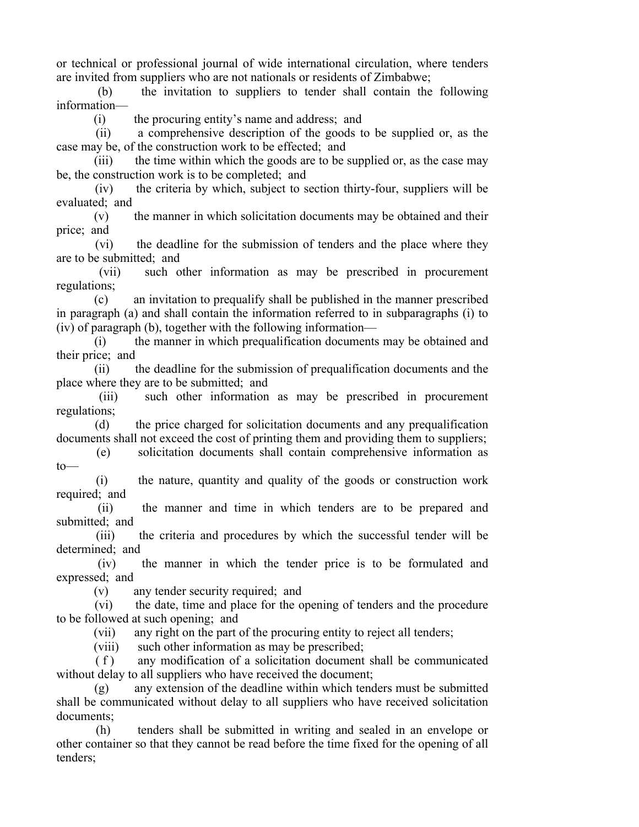or technical or professional journal of wide international circulation, where tenders are invited from suppliers who are not nationals or residents of Zimbabwe;

 (b) the invitation to suppliers to tender shall contain the following information—

(i) the procuring entity's name and address; and

 (ii) a comprehensive description of the goods to be supplied or, as the case may be, of the construction work to be effected; and

(iii) the time within which the goods are to be supplied or, as the case may be, the construction work is to be completed; and

 (iv) the criteria by which, subject to section thirty-four, suppliers will be evaluated; and

 (v) the manner in which solicitation documents may be obtained and their price; and

 (vi) the deadline for the submission of tenders and the place where they are to be submitted; and

 (vii) such other information as may be prescribed in procurement regulations;

 (c) an invitation to prequalify shall be published in the manner prescribed in paragraph (a) and shall contain the information referred to in subparagraphs (i) to (iv) of paragraph (b), together with the following information—

 (i) the manner in which prequalification documents may be obtained and their price; and

 (ii) the deadline for the submission of prequalification documents and the place where they are to be submitted; and

 (iii) such other information as may be prescribed in procurement regulations;

 (d) the price charged for solicitation documents and any prequalification documents shall not exceed the cost of printing them and providing them to suppliers;

 (e) solicitation documents shall contain comprehensive information as to—

 (i) the nature, quantity and quality of the goods or construction work required; and

 (ii) the manner and time in which tenders are to be prepared and submitted; and

 (iii) the criteria and procedures by which the successful tender will be determined; and

 (iv) the manner in which the tender price is to be formulated and expressed; and

(v) any tender security required; and

 (vi) the date, time and place for the opening of tenders and the procedure to be followed at such opening; and

(vii) any right on the part of the procuring entity to reject all tenders;

(viii) such other information as may be prescribed;

 ( f ) any modification of a solicitation document shall be communicated without delay to all suppliers who have received the document;

 (g) any extension of the deadline within which tenders must be submitted shall be communicated without delay to all suppliers who have received solicitation documents;

 (h) tenders shall be submitted in writing and sealed in an envelope or other container so that they cannot be read before the time fixed for the opening of all tenders;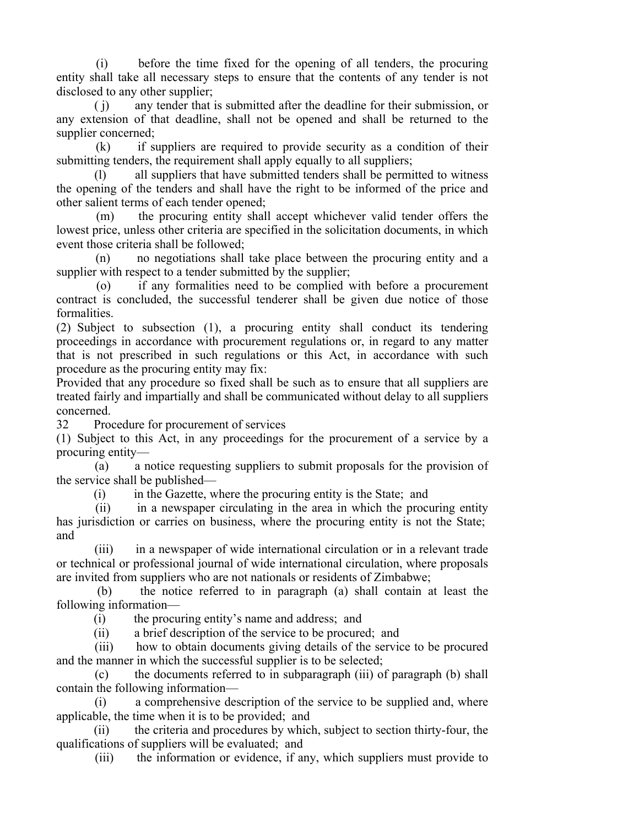(i) before the time fixed for the opening of all tenders, the procuring entity shall take all necessary steps to ensure that the contents of any tender is not disclosed to any other supplier;

 ( j) any tender that is submitted after the deadline for their submission, or any extension of that deadline, shall not be opened and shall be returned to the supplier concerned;

 (k) if suppliers are required to provide security as a condition of their submitting tenders, the requirement shall apply equally to all suppliers;

 (l) all suppliers that have submitted tenders shall be permitted to witness the opening of the tenders and shall have the right to be informed of the price and other salient terms of each tender opened;

 (m) the procuring entity shall accept whichever valid tender offers the lowest price, unless other criteria are specified in the solicitation documents, in which event those criteria shall be followed;

 (n) no negotiations shall take place between the procuring entity and a supplier with respect to a tender submitted by the supplier;

 (o) if any formalities need to be complied with before a procurement contract is concluded, the successful tenderer shall be given due notice of those formalities.

(2) Subject to subsection (1), a procuring entity shall conduct its tendering proceedings in accordance with procurement regulations or, in regard to any matter that is not prescribed in such regulations or this Act, in accordance with such procedure as the procuring entity may fix:

Provided that any procedure so fixed shall be such as to ensure that all suppliers are treated fairly and impartially and shall be communicated without delay to all suppliers concerned.

32 Procedure for procurement of services

(1) Subject to this Act, in any proceedings for the procurement of a service by a procuring entity—

 (a) a notice requesting suppliers to submit proposals for the provision of the service shall be published—

(i) in the Gazette, where the procuring entity is the State; and

 (ii) in a newspaper circulating in the area in which the procuring entity has jurisdiction or carries on business, where the procuring entity is not the State; and

 (iii) in a newspaper of wide international circulation or in a relevant trade or technical or professional journal of wide international circulation, where proposals are invited from suppliers who are not nationals or residents of Zimbabwe;

 (b) the notice referred to in paragraph (a) shall contain at least the following information—

(i) the procuring entity's name and address; and

(ii) a brief description of the service to be procured; and

 (iii) how to obtain documents giving details of the service to be procured and the manner in which the successful supplier is to be selected;

 (c) the documents referred to in subparagraph (iii) of paragraph (b) shall contain the following information—

 (i) a comprehensive description of the service to be supplied and, where applicable, the time when it is to be provided; and

 (ii) the criteria and procedures by which, subject to section thirty-four, the qualifications of suppliers will be evaluated; and

(iii) the information or evidence, if any, which suppliers must provide to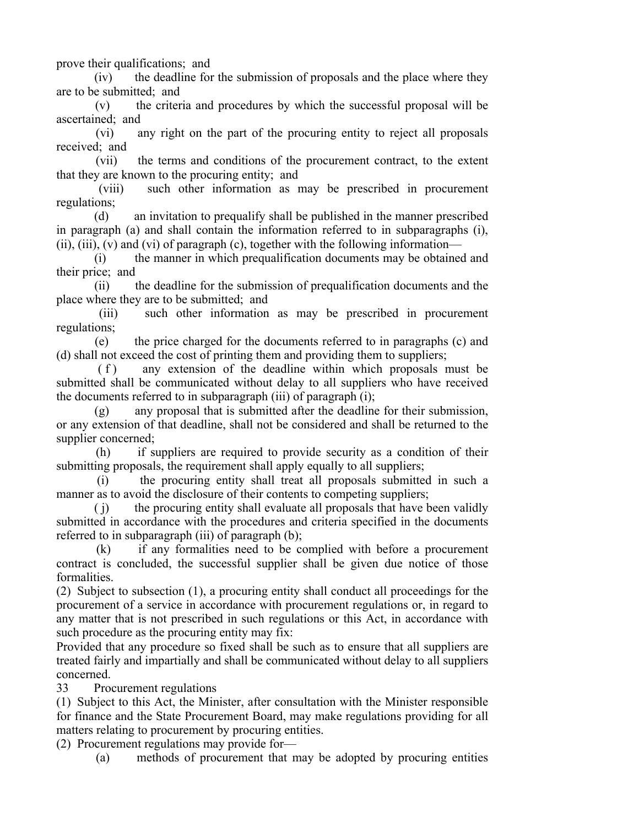prove their qualifications; and

 (iv) the deadline for the submission of proposals and the place where they are to be submitted; and

 (v) the criteria and procedures by which the successful proposal will be ascertained; and

 (vi) any right on the part of the procuring entity to reject all proposals received; and

 (vii) the terms and conditions of the procurement contract, to the extent that they are known to the procuring entity; and

 (viii) such other information as may be prescribed in procurement regulations;

 (d) an invitation to prequalify shall be published in the manner prescribed in paragraph (a) and shall contain the information referred to in subparagraphs (i), (ii), (iii), (v) and (vi) of paragraph (c), together with the following information—

 (i) the manner in which prequalification documents may be obtained and their price; and

 (ii) the deadline for the submission of prequalification documents and the place where they are to be submitted; and

 (iii) such other information as may be prescribed in procurement regulations;

 (e) the price charged for the documents referred to in paragraphs (c) and (d) shall not exceed the cost of printing them and providing them to suppliers;

(f) any extension of the deadline within which proposals must be submitted shall be communicated without delay to all suppliers who have received the documents referred to in subparagraph (iii) of paragraph (i);

 (g) any proposal that is submitted after the deadline for their submission, or any extension of that deadline, shall not be considered and shall be returned to the supplier concerned;

 (h) if suppliers are required to provide security as a condition of their submitting proposals, the requirement shall apply equally to all suppliers;

 (i) the procuring entity shall treat all proposals submitted in such a manner as to avoid the disclosure of their contents to competing suppliers;

 ( j) the procuring entity shall evaluate all proposals that have been validly submitted in accordance with the procedures and criteria specified in the documents referred to in subparagraph (iii) of paragraph (b);

 (k) if any formalities need to be complied with before a procurement contract is concluded, the successful supplier shall be given due notice of those formalities.

(2) Subject to subsection (1), a procuring entity shall conduct all proceedings for the procurement of a service in accordance with procurement regulations or, in regard to any matter that is not prescribed in such regulations or this Act, in accordance with such procedure as the procuring entity may fix:

Provided that any procedure so fixed shall be such as to ensure that all suppliers are treated fairly and impartially and shall be communicated without delay to all suppliers concerned.

33 Procurement regulations

(1) Subject to this Act, the Minister, after consultation with the Minister responsible for finance and the State Procurement Board, may make regulations providing for all matters relating to procurement by procuring entities.

(2) Procurement regulations may provide for—

 <sup>(</sup>a) methods of procurement that may be adopted by procuring entities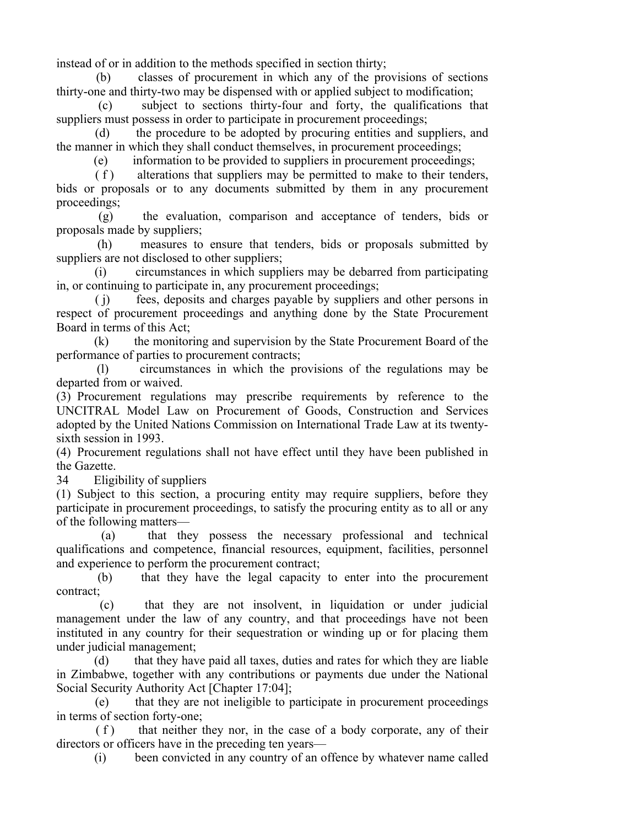instead of or in addition to the methods specified in section thirty;

 (b) classes of procurement in which any of the provisions of sections thirty-one and thirty-two may be dispensed with or applied subject to modification;

 (c) subject to sections thirty-four and forty, the qualifications that suppliers must possess in order to participate in procurement proceedings;

 (d) the procedure to be adopted by procuring entities and suppliers, and the manner in which they shall conduct themselves, in procurement proceedings;

(e) information to be provided to suppliers in procurement proceedings;

 $(f)$  alterations that suppliers may be permitted to make to their tenders, bids or proposals or to any documents submitted by them in any procurement proceedings;

 (g) the evaluation, comparison and acceptance of tenders, bids or proposals made by suppliers;

 (h) measures to ensure that tenders, bids or proposals submitted by suppliers are not disclosed to other suppliers;

 (i) circumstances in which suppliers may be debarred from participating in, or continuing to participate in, any procurement proceedings;

 ( j) fees, deposits and charges payable by suppliers and other persons in respect of procurement proceedings and anything done by the State Procurement Board in terms of this Act;

 (k) the monitoring and supervision by the State Procurement Board of the performance of parties to procurement contracts;

 (l) circumstances in which the provisions of the regulations may be departed from or waived.

(3) Procurement regulations may prescribe requirements by reference to the UNCITRAL Model Law on Procurement of Goods, Construction and Services adopted by the United Nations Commission on International Trade Law at its twentysixth session in 1993.

(4) Procurement regulations shall not have effect until they have been published in the Gazette.

34 Eligibility of suppliers

(1) Subject to this section, a procuring entity may require suppliers, before they participate in procurement proceedings, to satisfy the procuring entity as to all or any of the following matters—

 (a) that they possess the necessary professional and technical qualifications and competence, financial resources, equipment, facilities, personnel and experience to perform the procurement contract;

 (b) that they have the legal capacity to enter into the procurement contract;

 (c) that they are not insolvent, in liquidation or under judicial management under the law of any country, and that proceedings have not been instituted in any country for their sequestration or winding up or for placing them under judicial management;

 (d) that they have paid all taxes, duties and rates for which they are liable in Zimbabwe, together with any contributions or payments due under the National Social Security Authority Act [Chapter 17:04];

 (e) that they are not ineligible to participate in procurement proceedings in terms of section forty-one;

 $(f)$  that neither they nor, in the case of a body corporate, any of their directors or officers have in the preceding ten years—

(i) been convicted in any country of an offence by whatever name called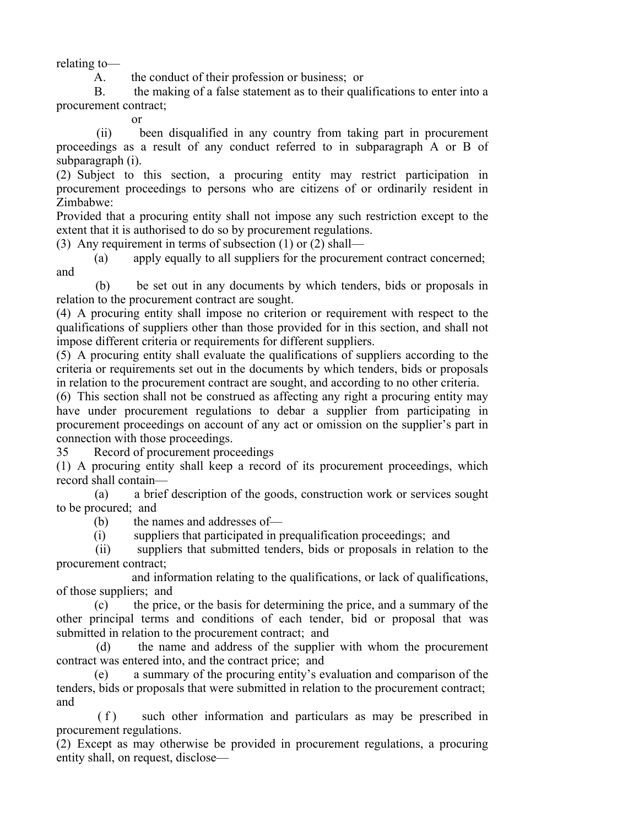relating to—

A. the conduct of their profession or business; or

 B. the making of a false statement as to their qualifications to enter into a procurement contract;

or

 (ii) been disqualified in any country from taking part in procurement proceedings as a result of any conduct referred to in subparagraph A or B of subparagraph (i).

(2) Subject to this section, a procuring entity may restrict participation in procurement proceedings to persons who are citizens of or ordinarily resident in Zimbabwe:

Provided that a procuring entity shall not impose any such restriction except to the extent that it is authorised to do so by procurement regulations.

(3) Any requirement in terms of subsection (1) or (2) shall—

 (a) apply equally to all suppliers for the procurement contract concerned; and

 (b) be set out in any documents by which tenders, bids or proposals in relation to the procurement contract are sought.

(4) A procuring entity shall impose no criterion or requirement with respect to the qualifications of suppliers other than those provided for in this section, and shall not impose different criteria or requirements for different suppliers.

(5) A procuring entity shall evaluate the qualifications of suppliers according to the criteria or requirements set out in the documents by which tenders, bids or proposals in relation to the procurement contract are sought, and according to no other criteria.

(6) This section shall not be construed as affecting any right a procuring entity may have under procurement regulations to debar a supplier from participating in procurement proceedings on account of any act or omission on the supplier's part in connection with those proceedings.

35 Record of procurement proceedings

(1) A procuring entity shall keep a record of its procurement proceedings, which record shall contain—

 (a) a brief description of the goods, construction work or services sought to be procured; and

(b) the names and addresses of—

(i) suppliers that participated in prequalification proceedings; and

 (ii) suppliers that submitted tenders, bids or proposals in relation to the procurement contract;

 and information relating to the qualifications, or lack of qualifications, of those suppliers; and

 (c) the price, or the basis for determining the price, and a summary of the other principal terms and conditions of each tender, bid or proposal that was submitted in relation to the procurement contract; and

 (d) the name and address of the supplier with whom the procurement contract was entered into, and the contract price; and

 (e) a summary of the procuring entity's evaluation and comparison of the tenders, bids or proposals that were submitted in relation to the procurement contract; and

(f) such other information and particulars as may be prescribed in procurement regulations.

(2) Except as may otherwise be provided in procurement regulations, a procuring entity shall, on request, disclose—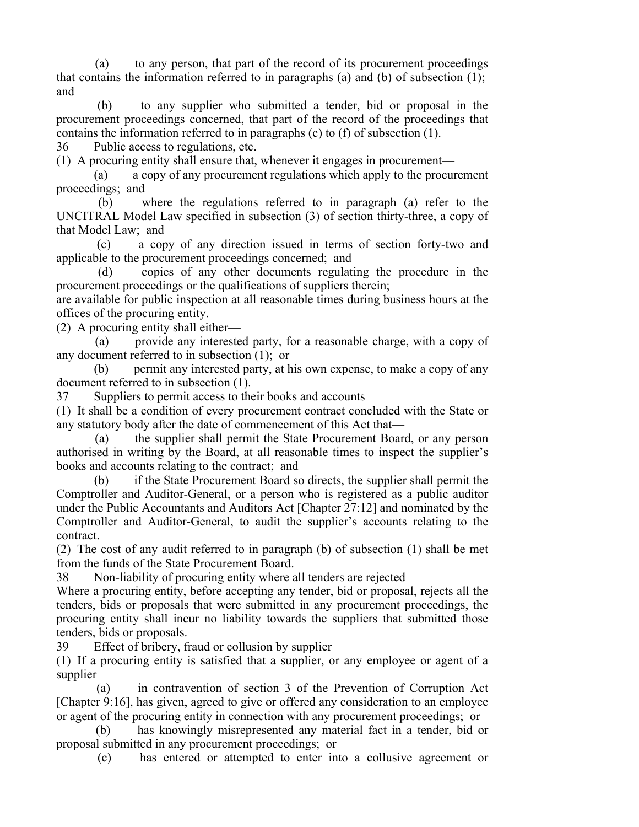(a) to any person, that part of the record of its procurement proceedings that contains the information referred to in paragraphs (a) and (b) of subsection (1); and

 (b) to any supplier who submitted a tender, bid or proposal in the procurement proceedings concerned, that part of the record of the proceedings that contains the information referred to in paragraphs (c) to (f) of subsection (1).

36 Public access to regulations, etc.

(1) A procuring entity shall ensure that, whenever it engages in procurement—

 (a) a copy of any procurement regulations which apply to the procurement proceedings; and

 (b) where the regulations referred to in paragraph (a) refer to the UNCITRAL Model Law specified in subsection (3) of section thirty-three, a copy of that Model Law; and

 (c) a copy of any direction issued in terms of section forty-two and applicable to the procurement proceedings concerned; and

 (d) copies of any other documents regulating the procedure in the procurement proceedings or the qualifications of suppliers therein;

are available for public inspection at all reasonable times during business hours at the offices of the procuring entity.

(2) A procuring entity shall either—

 (a) provide any interested party, for a reasonable charge, with a copy of any document referred to in subsection (1); or

 (b) permit any interested party, at his own expense, to make a copy of any document referred to in subsection (1).

37 Suppliers to permit access to their books and accounts

(1) It shall be a condition of every procurement contract concluded with the State or any statutory body after the date of commencement of this Act that—

 (a) the supplier shall permit the State Procurement Board, or any person authorised in writing by the Board, at all reasonable times to inspect the supplier's books and accounts relating to the contract; and

 (b) if the State Procurement Board so directs, the supplier shall permit the Comptroller and Auditor-General, or a person who is registered as a public auditor under the Public Accountants and Auditors Act [Chapter 27:12] and nominated by the Comptroller and Auditor-General, to audit the supplier's accounts relating to the contract.

(2) The cost of any audit referred to in paragraph (b) of subsection (1) shall be met from the funds of the State Procurement Board.

38 Non-liability of procuring entity where all tenders are rejected

Where a procuring entity, before accepting any tender, bid or proposal, rejects all the tenders, bids or proposals that were submitted in any procurement proceedings, the procuring entity shall incur no liability towards the suppliers that submitted those tenders, bids or proposals.

39 Effect of bribery, fraud or collusion by supplier

(1) If a procuring entity is satisfied that a supplier, or any employee or agent of a supplier—

 (a) in contravention of section 3 of the Prevention of Corruption Act [Chapter 9:16], has given, agreed to give or offered any consideration to an employee or agent of the procuring entity in connection with any procurement proceedings; or

 (b) has knowingly misrepresented any material fact in a tender, bid or proposal submitted in any procurement proceedings; or

(c) has entered or attempted to enter into a collusive agreement or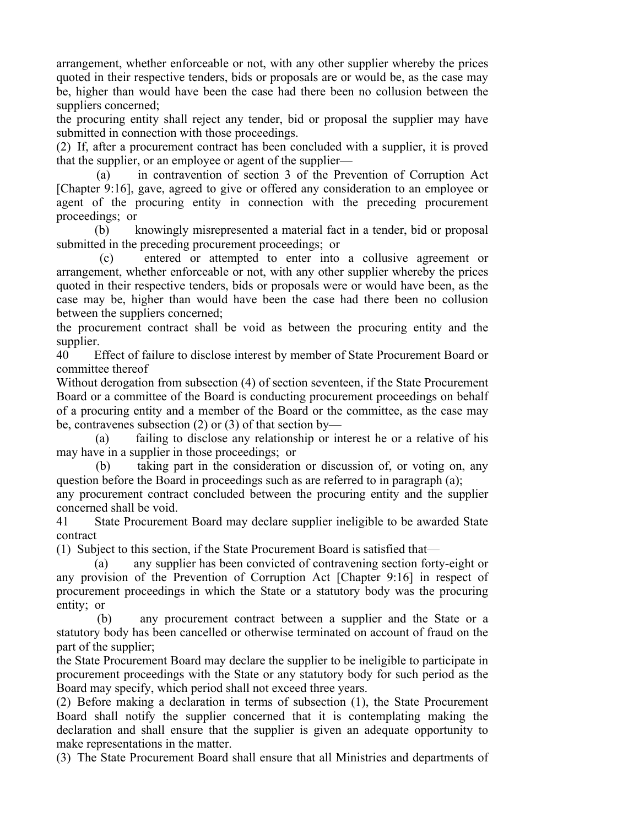arrangement, whether enforceable or not, with any other supplier whereby the prices quoted in their respective tenders, bids or proposals are or would be, as the case may be, higher than would have been the case had there been no collusion between the suppliers concerned;

the procuring entity shall reject any tender, bid or proposal the supplier may have submitted in connection with those proceedings.

(2) If, after a procurement contract has been concluded with a supplier, it is proved that the supplier, or an employee or agent of the supplier—

 (a) in contravention of section 3 of the Prevention of Corruption Act [Chapter 9:16], gave, agreed to give or offered any consideration to an employee or agent of the procuring entity in connection with the preceding procurement proceedings; or

 (b) knowingly misrepresented a material fact in a tender, bid or proposal submitted in the preceding procurement proceedings; or

 (c) entered or attempted to enter into a collusive agreement or arrangement, whether enforceable or not, with any other supplier whereby the prices quoted in their respective tenders, bids or proposals were or would have been, as the case may be, higher than would have been the case had there been no collusion between the suppliers concerned;

the procurement contract shall be void as between the procuring entity and the supplier.

40 Effect of failure to disclose interest by member of State Procurement Board or committee thereof

Without derogation from subsection (4) of section seventeen, if the State Procurement Board or a committee of the Board is conducting procurement proceedings on behalf of a procuring entity and a member of the Board or the committee, as the case may be, contravenes subsection (2) or (3) of that section by—

 (a) failing to disclose any relationship or interest he or a relative of his may have in a supplier in those proceedings; or

 (b) taking part in the consideration or discussion of, or voting on, any question before the Board in proceedings such as are referred to in paragraph (a);

any procurement contract concluded between the procuring entity and the supplier concerned shall be void.

41 State Procurement Board may declare supplier ineligible to be awarded State contract

(1) Subject to this section, if the State Procurement Board is satisfied that—

 (a) any supplier has been convicted of contravening section forty-eight or any provision of the Prevention of Corruption Act [Chapter 9:16] in respect of procurement proceedings in which the State or a statutory body was the procuring entity; or

 (b) any procurement contract between a supplier and the State or a statutory body has been cancelled or otherwise terminated on account of fraud on the part of the supplier;

the State Procurement Board may declare the supplier to be ineligible to participate in procurement proceedings with the State or any statutory body for such period as the Board may specify, which period shall not exceed three years.

(2) Before making a declaration in terms of subsection (1), the State Procurement Board shall notify the supplier concerned that it is contemplating making the declaration and shall ensure that the supplier is given an adequate opportunity to make representations in the matter.

(3) The State Procurement Board shall ensure that all Ministries and departments of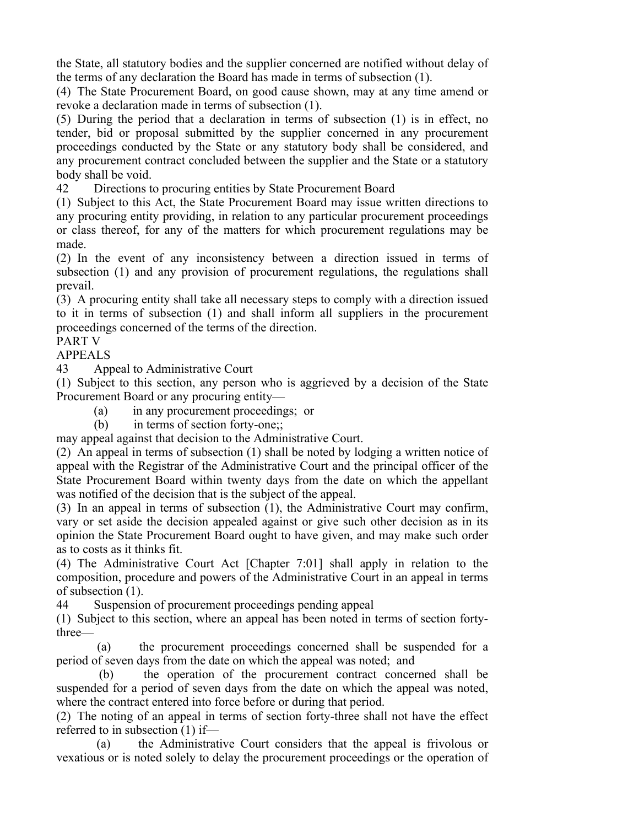the State, all statutory bodies and the supplier concerned are notified without delay of the terms of any declaration the Board has made in terms of subsection (1).

(4) The State Procurement Board, on good cause shown, may at any time amend or revoke a declaration made in terms of subsection (1).

(5) During the period that a declaration in terms of subsection (1) is in effect, no tender, bid or proposal submitted by the supplier concerned in any procurement proceedings conducted by the State or any statutory body shall be considered, and any procurement contract concluded between the supplier and the State or a statutory body shall be void.

42 Directions to procuring entities by State Procurement Board

(1) Subject to this Act, the State Procurement Board may issue written directions to any procuring entity providing, in relation to any particular procurement proceedings or class thereof, for any of the matters for which procurement regulations may be made.

(2) In the event of any inconsistency between a direction issued in terms of subsection (1) and any provision of procurement regulations, the regulations shall prevail.

(3) A procuring entity shall take all necessary steps to comply with a direction issued to it in terms of subsection (1) and shall inform all suppliers in the procurement proceedings concerned of the terms of the direction.

# PART V

#### APPEALS

43 Appeal to Administrative Court

(1) Subject to this section, any person who is aggrieved by a decision of the State Procurement Board or any procuring entity—

(a) in any procurement proceedings; or

(b) in terms of section forty-one;;

may appeal against that decision to the Administrative Court.

(2) An appeal in terms of subsection (1) shall be noted by lodging a written notice of appeal with the Registrar of the Administrative Court and the principal officer of the State Procurement Board within twenty days from the date on which the appellant was notified of the decision that is the subject of the appeal.

(3) In an appeal in terms of subsection (1), the Administrative Court may confirm, vary or set aside the decision appealed against or give such other decision as in its opinion the State Procurement Board ought to have given, and may make such order as to costs as it thinks fit.

(4) The Administrative Court Act [Chapter 7:01] shall apply in relation to the composition, procedure and powers of the Administrative Court in an appeal in terms of subsection (1).

44 Suspension of procurement proceedings pending appeal

(1) Subject to this section, where an appeal has been noted in terms of section fortythree—

 (a) the procurement proceedings concerned shall be suspended for a period of seven days from the date on which the appeal was noted; and

 (b) the operation of the procurement contract concerned shall be suspended for a period of seven days from the date on which the appeal was noted, where the contract entered into force before or during that period.

(2) The noting of an appeal in terms of section forty-three shall not have the effect referred to in subsection (1) if—

 (a) the Administrative Court considers that the appeal is frivolous or vexatious or is noted solely to delay the procurement proceedings or the operation of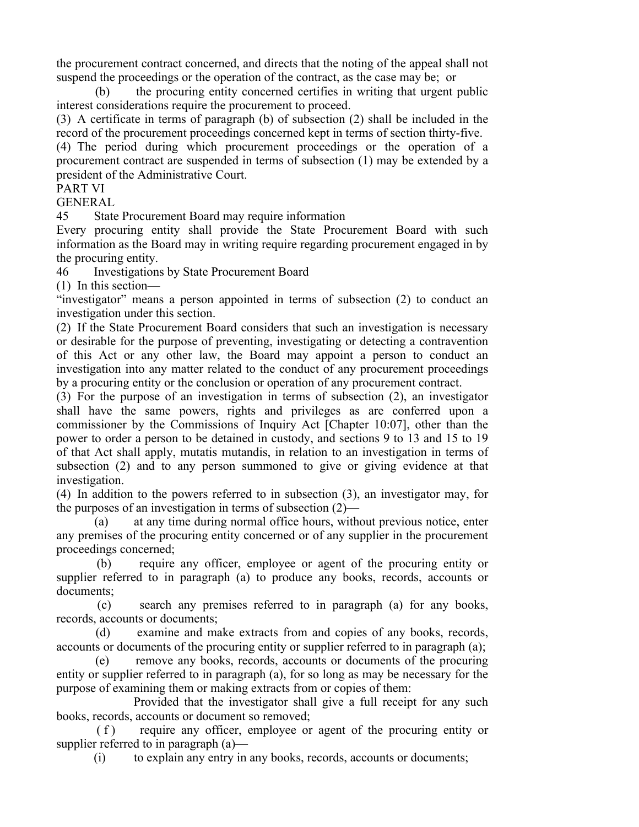the procurement contract concerned, and directs that the noting of the appeal shall not suspend the proceedings or the operation of the contract, as the case may be; or

 (b) the procuring entity concerned certifies in writing that urgent public interest considerations require the procurement to proceed.

(3) A certificate in terms of paragraph (b) of subsection (2) shall be included in the record of the procurement proceedings concerned kept in terms of section thirty-five.

(4) The period during which procurement proceedings or the operation of a procurement contract are suspended in terms of subsection (1) may be extended by a president of the Administrative Court.

# PART VI

# GENERAL

45 State Procurement Board may require information

Every procuring entity shall provide the State Procurement Board with such information as the Board may in writing require regarding procurement engaged in by the procuring entity.

46 Investigations by State Procurement Board

(1) In this section—

"investigator" means a person appointed in terms of subsection (2) to conduct an investigation under this section.

(2) If the State Procurement Board considers that such an investigation is necessary or desirable for the purpose of preventing, investigating or detecting a contravention of this Act or any other law, the Board may appoint a person to conduct an investigation into any matter related to the conduct of any procurement proceedings by a procuring entity or the conclusion or operation of any procurement contract.

(3) For the purpose of an investigation in terms of subsection (2), an investigator shall have the same powers, rights and privileges as are conferred upon a commissioner by the Commissions of Inquiry Act [Chapter 10:07], other than the power to order a person to be detained in custody, and sections 9 to 13 and 15 to 19 of that Act shall apply, mutatis mutandis, in relation to an investigation in terms of subsection (2) and to any person summoned to give or giving evidence at that investigation.

(4) In addition to the powers referred to in subsection (3), an investigator may, for the purposes of an investigation in terms of subsection (2)—

 (a) at any time during normal office hours, without previous notice, enter any premises of the procuring entity concerned or of any supplier in the procurement proceedings concerned;

 (b) require any officer, employee or agent of the procuring entity or supplier referred to in paragraph (a) to produce any books, records, accounts or documents;

 (c) search any premises referred to in paragraph (a) for any books, records, accounts or documents;

 (d) examine and make extracts from and copies of any books, records, accounts or documents of the procuring entity or supplier referred to in paragraph (a);

 (e) remove any books, records, accounts or documents of the procuring entity or supplier referred to in paragraph (a), for so long as may be necessary for the purpose of examining them or making extracts from or copies of them:

 Provided that the investigator shall give a full receipt for any such books, records, accounts or document so removed;

(f) require any officer, employee or agent of the procuring entity or supplier referred to in paragraph (a)—

(i) to explain any entry in any books, records, accounts or documents;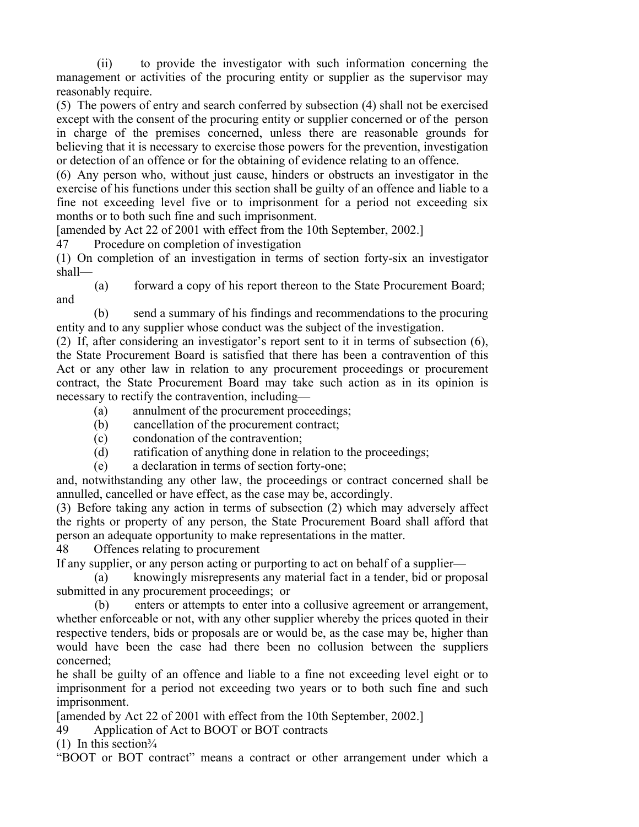(ii) to provide the investigator with such information concerning the management or activities of the procuring entity or supplier as the supervisor may reasonably require.

(5) The powers of entry and search conferred by subsection (4) shall not be exercised except with the consent of the procuring entity or supplier concerned or of the person in charge of the premises concerned, unless there are reasonable grounds for believing that it is necessary to exercise those powers for the prevention, investigation or detection of an offence or for the obtaining of evidence relating to an offence.

(6) Any person who, without just cause, hinders or obstructs an investigator in the exercise of his functions under this section shall be guilty of an offence and liable to a fine not exceeding level five or to imprisonment for a period not exceeding six months or to both such fine and such imprisonment.

[amended by Act 22 of 2001 with effect from the 10th September, 2002.]

47 Procedure on completion of investigation

(1) On completion of an investigation in terms of section forty-six an investigator shall—

 (a) forward a copy of his report thereon to the State Procurement Board; and

 (b) send a summary of his findings and recommendations to the procuring entity and to any supplier whose conduct was the subject of the investigation.

(2) If, after considering an investigator's report sent to it in terms of subsection (6), the State Procurement Board is satisfied that there has been a contravention of this Act or any other law in relation to any procurement proceedings or procurement contract, the State Procurement Board may take such action as in its opinion is necessary to rectify the contravention, including—

- (a) annulment of the procurement proceedings;
- (b) cancellation of the procurement contract;
- (c) condonation of the contravention;
- (d) ratification of anything done in relation to the proceedings;
- (e) a declaration in terms of section forty-one;

and, notwithstanding any other law, the proceedings or contract concerned shall be annulled, cancelled or have effect, as the case may be, accordingly.

(3) Before taking any action in terms of subsection (2) which may adversely affect the rights or property of any person, the State Procurement Board shall afford that person an adequate opportunity to make representations in the matter.

48 Offences relating to procurement

If any supplier, or any person acting or purporting to act on behalf of a supplier—

 (a) knowingly misrepresents any material fact in a tender, bid or proposal submitted in any procurement proceedings; or

 (b) enters or attempts to enter into a collusive agreement or arrangement, whether enforceable or not, with any other supplier whereby the prices quoted in their respective tenders, bids or proposals are or would be, as the case may be, higher than would have been the case had there been no collusion between the suppliers concerned;

he shall be guilty of an offence and liable to a fine not exceeding level eight or to imprisonment for a period not exceeding two years or to both such fine and such imprisonment.

[amended by Act 22 of 2001 with effect from the 10th September, 2002.]

49 Application of Act to BOOT or BOT contracts

(1) In this section $\frac{3}{4}$ 

"BOOT or BOT contract" means a contract or other arrangement under which a